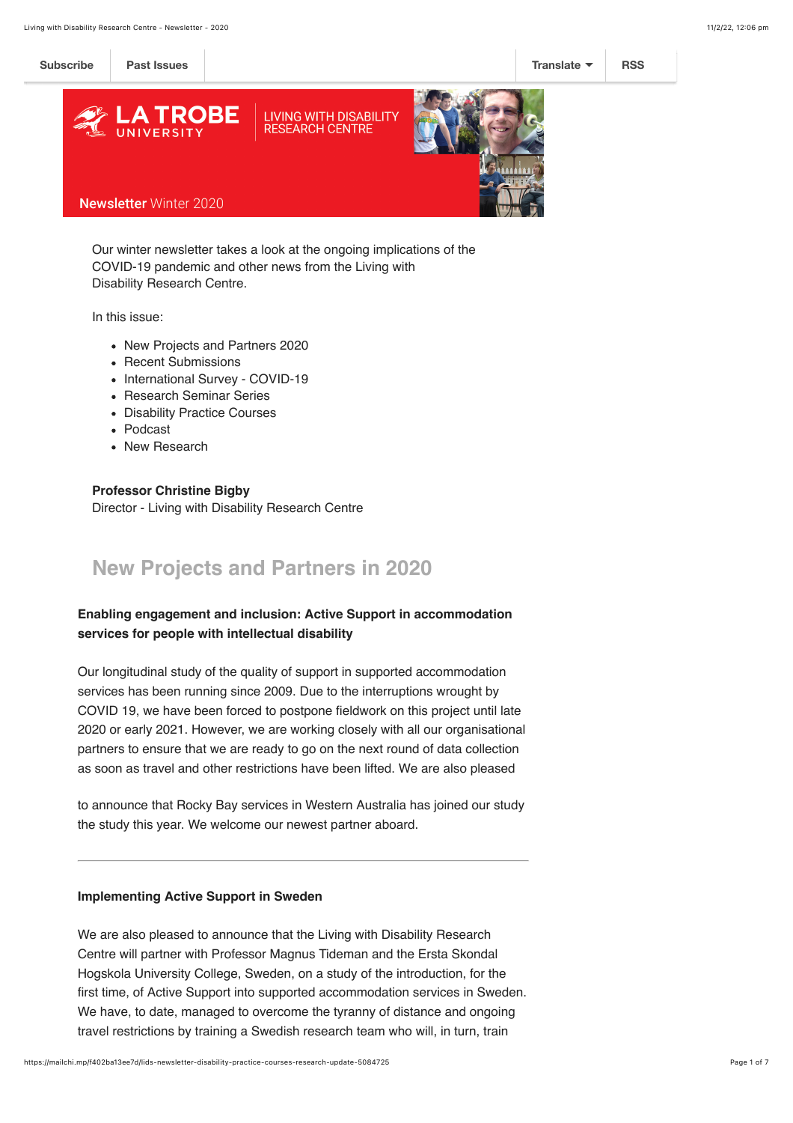

Our winter newsletter takes a look at the ongoing implications of the COVID-19 pandemic and other news from the Living with Disability Research Centre.

In this issue:

- New Projects and Partners 2020
- Recent Submissions
- International Survey COVID-19
- Research Seminar Series
- Disability Practice Courses
- Podcast
- New Research

**Professor Christine Bigby** Director - Living with Disability Research Centre

# **New Projects and Partners in 2020**

### **Enabling engagement and inclusion: Active Support in accommodation services for people with intellectual disability**

Our longitudinal study of the quality of support in supported accommodation services has been running since 2009. Due to the interruptions wrought by COVID 19, we have been forced to postpone fieldwork on this project until late 2020 or early 2021. However, we are working closely with all our organisational partners to ensure that we are ready to go on the next round of data collection as soon as travel and other restrictions have been lifted. We are also pleased

to announce that Rocky Bay services in Western Australia has joined our study the study this year. We welcome our newest partner aboard.

#### **Implementing Active Support in Sweden**

We are also pleased to announce that the Living with Disability Research Centre will partner with Professor Magnus Tideman and the Ersta Skondal Hogskola University College, Sweden, on a study of the introduction, for the first time, of Active Support into supported accommodation services in Sweden. We have, to date, managed to overcome the tyranny of distance and ongoing travel restrictions by training a Swedish research team who will, in turn, train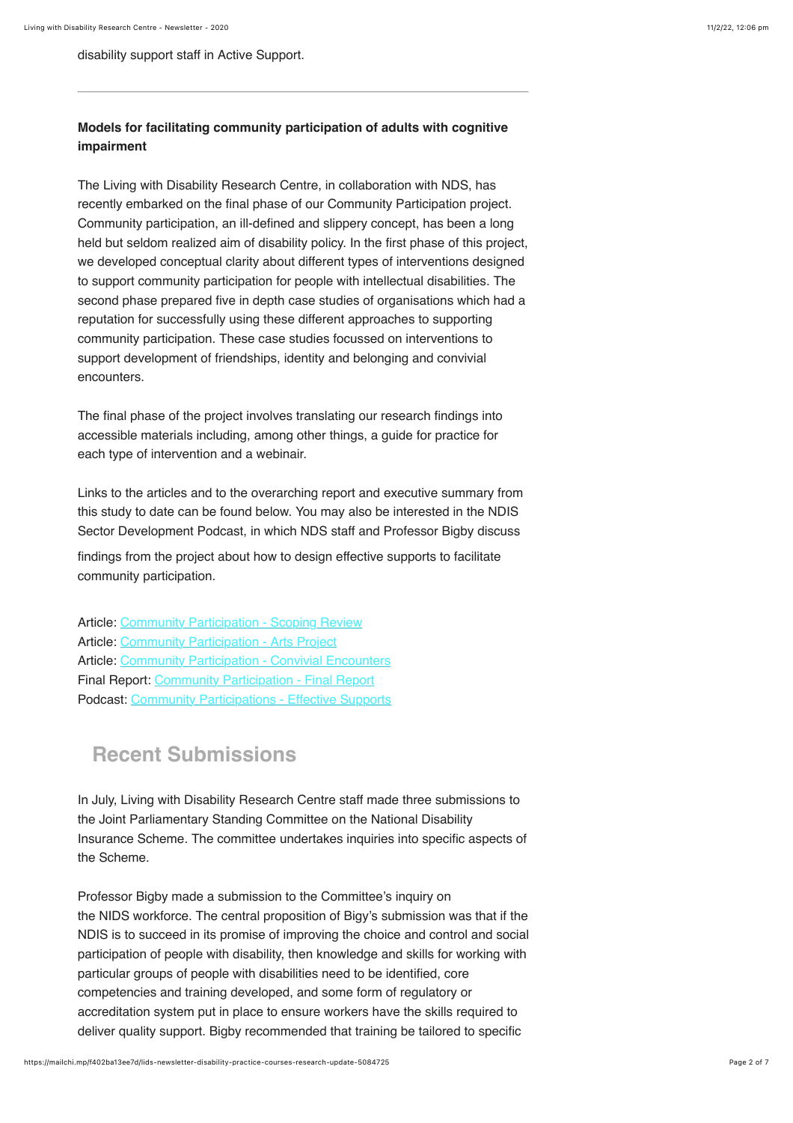disability support staff in Active Support.

### **Models for facilitating community participation of adults with cognitive impairment**

The Living with Disability Research Centre, in collaboration with NDS, has recently embarked on the final phase of our Community Participation project. Community participation, an ill-defined and slippery concept, has been a long held but seldom realized aim of disability policy. In the first phase of this project, we developed conceptual clarity about different types of interventions designed to support community participation for people with intellectual disabilities. The second phase prepared five in depth case studies of organisations which had a reputation for successfully using these different approaches to supporting community participation. These case studies focussed on interventions to support development of friendships, identity and belonging and convivial encounters.

The final phase of the project involves translating our research findings into accessible materials including, among other things, a guide for practice for each type of intervention and a webinair.

Links to the articles and to the overarching report and executive summary from this study to date can be found below. You may also be interested in the NDIS Sector Development Podcast, in which NDS staff and Professor Bigby discuss

findings from the project about how to design effective supports to facilitate community participation.

Article: [Community Participation - Scoping Review](https://onlinelibrary.wiley.com/doi/full/10.1111/jar.12390) Article: [Community Participation - Arts Project](https://www.tandfonline.com/doi/full/10.1080/23297018.2020.1753231) Article: [Community Participation - Convivial Encounters](https://www.tandfonline.com/doi/full/10.3109/13668250.2020.1812178) Final Report: [Community Participation - Final Report](https://www.latrobe.edu.au/__data/assets/pdf_file/0017/1162421/2019-Final-Revised-Full-report-Bigby-et-al-Community-Participation-3-Dec-201....pdf) Podcast: [Community Participations - Effective Supports](https://player.whooshkaa.com/episode/381683)

## **Recent Submissions**

In July, Living with Disability Research Centre staff made three submissions to the Joint Parliamentary Standing Committee on the National Disability Insurance Scheme. The committee undertakes inquiries into specific aspects of the Scheme.

Professor Bigby made a submission to the Committee's inquiry on the NIDS workforce. The central proposition of Bigy's submission was that if the NDIS is to succeed in its promise of improving the choice and control and social participation of people with disability, then knowledge and skills for working with particular groups of people with disabilities need to be identified, core competencies and training developed, and some form of regulatory or accreditation system put in place to ensure workers have the skills required to deliver quality support. Bigby recommended that training be tailored to specific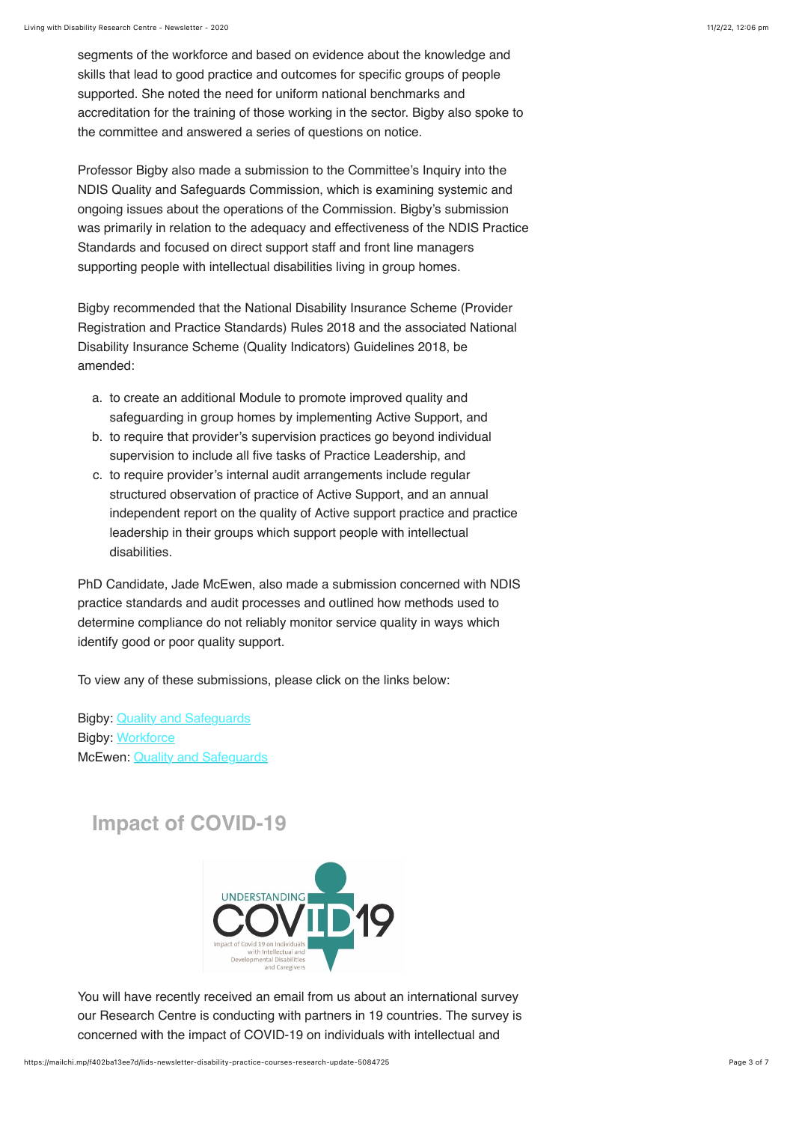segments of the workforce and based on evidence about the knowledge and skills that lead to good practice and outcomes for specific groups of people supported. She noted the need for uniform national benchmarks and accreditation for the training of those working in the sector. Bigby also spoke to the committee and answered a series of questions on notice.

Professor Bigby also made a submission to the Committee's Inquiry into the NDIS Quality and Safeguards Commission, which is examining systemic and ongoing issues about the operations of the Commission. Bigby's submission was primarily in relation to the adequacy and effectiveness of the NDIS Practice Standards and focused on direct support staff and front line managers supporting people with intellectual disabilities living in group homes.

Bigby recommended that the National Disability Insurance Scheme (Provider Registration and Practice Standards) Rules 2018 and the associated National Disability Insurance Scheme (Quality Indicators) Guidelines 2018, be amended:

- a. to create an additional Module to promote improved quality and safeguarding in group homes by implementing Active Support, and
- b. to require that provider's supervision practices go beyond individual supervision to include all five tasks of Practice Leadership, and
- c. to require provider's internal audit arrangements include regular structured observation of practice of Active Support, and an annual independent report on the quality of Active support practice and practice leadership in their groups which support people with intellectual disabilities.

PhD Candidate, Jade McEwen, also made a submission concerned with NDIS practice standards and audit processes and outlined how methods used to determine compliance do not reliably monitor service quality in ways which identify good or poor quality support.

To view any of these submissions, please click on the links below:

Bigby: [Quality and Safeguards](https://www.latrobe.edu.au/__data/assets/pdf_file/0008/1162475/sub_06QS.pdf) Bigby: [Workforce](https://www.latrobe.edu.au/__data/assets/pdf_file/0004/1162633/Sub_Bigby_WF.pdf) McEwen: [Quality and Safeguards](https://www.latrobe.edu.au/__data/assets/pdf_file/0008/1162466/Sub_McEwen_QS.pdf)

# **Impact of COVID-19**



You will have recently received an email from us about an international survey our Research Centre is conducting with partners in 19 countries. The survey is concerned with the impact of COVID-19 on individuals with intellectual and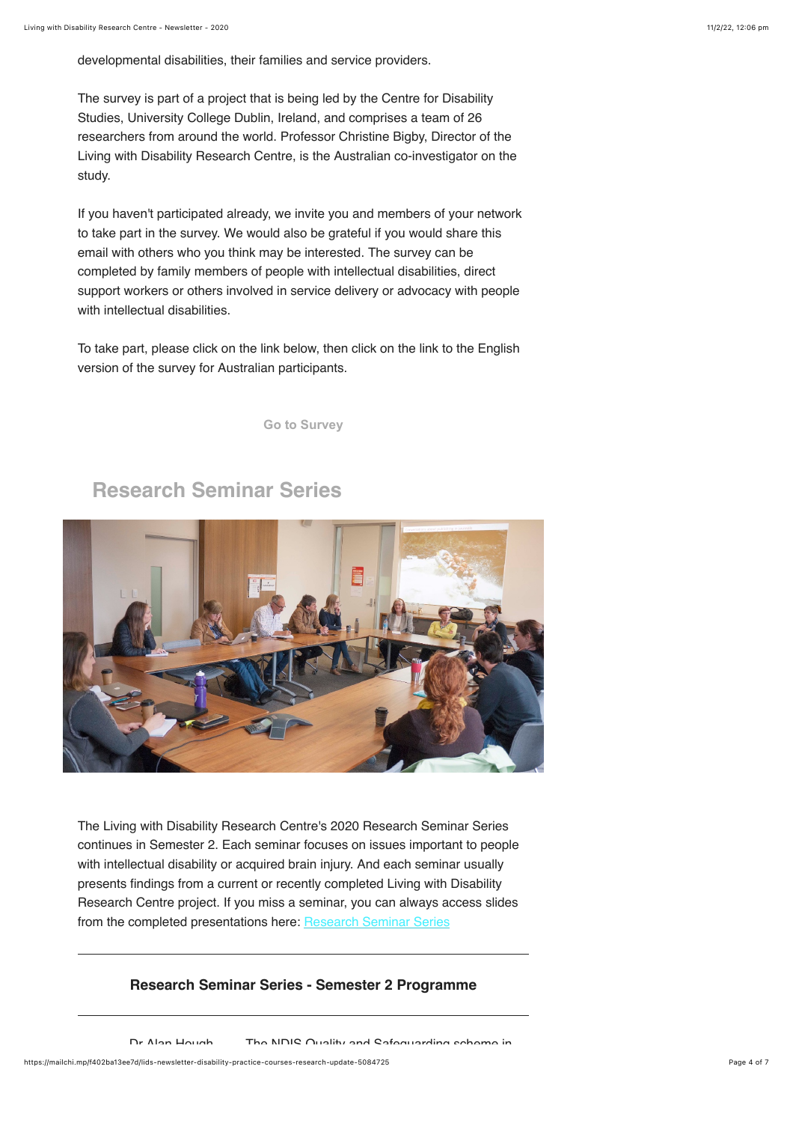developmental disabilities, their families and service providers.

The survey is part of a project that is being led by the Centre for Disability Studies, University College Dublin, Ireland, and comprises a team of 26 researchers from around the world. Professor Christine Bigby, Director of the Living with Disability Research Centre, is the Australian co-investigator on the study.

If you haven't participated already, we invite you and members of your network to take part in the survey. We would also be grateful if you would share this email with others who you think may be interested. The survey can be completed by family members of people with intellectual disabilities, direct support workers or others involved in service delivery or advocacy with people with intellectual disabilities.

To take part, please click on the link below, then click on the link to the English version of the survey for Australian participants.

**[Go to Survey](https://www.ucd.ie/psychology/ucdcentrefordisabilitystudies/covid19idd/)**

### **Research Seminar Series**



The Living with Disability Research Centre's 2020 Research Seminar Series continues in Semester 2. Each seminar focuses on issues important to people with intellectual disability or acquired brain injury. And each seminar usually presents findings from a current or recently completed Living with Disability Research Centre project. If you miss a seminar, you can always access slides from the completed presentations here: [Research Seminar Series](https://www.latrobe.edu.au/lids/resources/conferences)

### **Research Seminar Series - Semester 2 Programme**

Dr Alan Hough The NDIS Quality and Safeguarding scheme in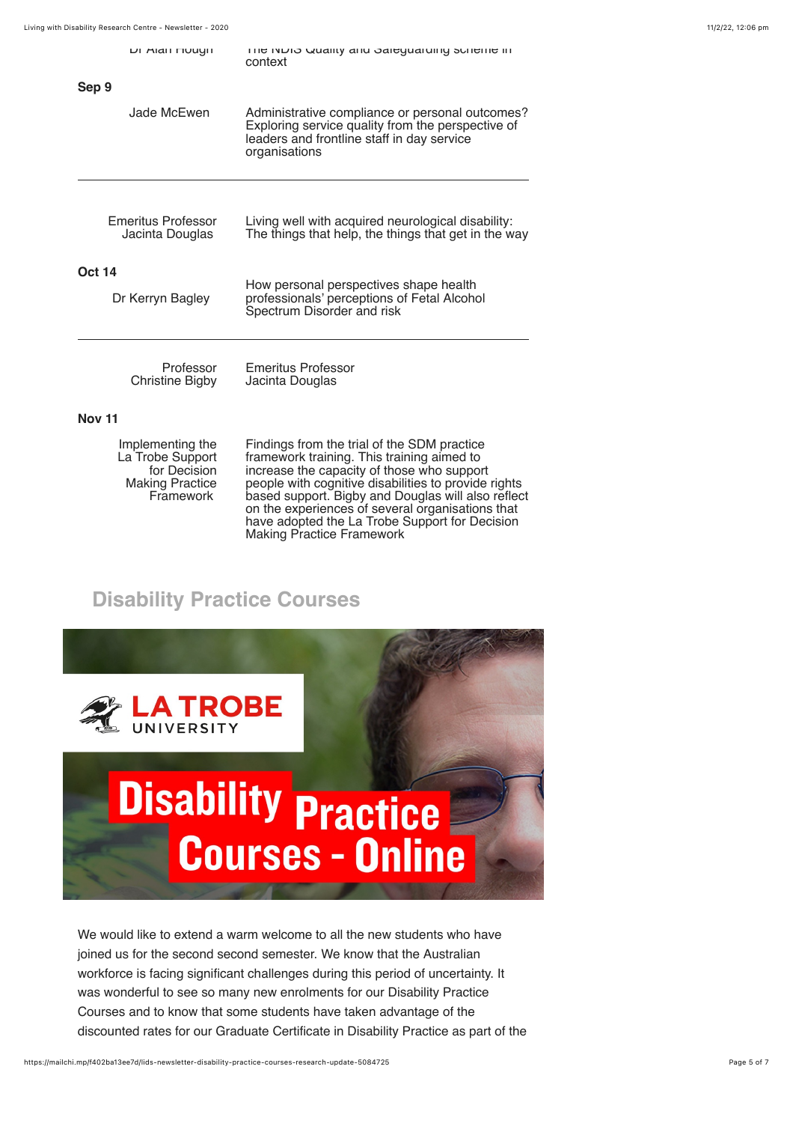|                                              | DI MIAII FIUUYII                                                                            | The triblio Quality and oaleguatumly schleme in<br>context                                                                                                                                                                                                                                                |
|----------------------------------------------|---------------------------------------------------------------------------------------------|-----------------------------------------------------------------------------------------------------------------------------------------------------------------------------------------------------------------------------------------------------------------------------------------------------------|
| Sep 9                                        |                                                                                             |                                                                                                                                                                                                                                                                                                           |
|                                              | Jade McEwen                                                                                 | Administrative compliance or personal outcomes?<br>Exploring service quality from the perspective of<br>leaders and frontline staff in day service<br>organisations                                                                                                                                       |
| <b>Emeritus Professor</b><br>Jacinta Douglas |                                                                                             | Living well with acquired neurological disability:<br>The things that help, the things that get in the way                                                                                                                                                                                                |
| <b>Oct 14</b><br>Dr Kerryn Bagley            |                                                                                             | How personal perspectives shape health<br>professionals' perceptions of Fetal Alcohol<br>Spectrum Disorder and risk                                                                                                                                                                                       |
|                                              | Professor<br>Christine Bigby                                                                | <b>Emeritus Professor</b><br>Jacinta Douglas                                                                                                                                                                                                                                                              |
| <b>Nov 11</b>                                |                                                                                             |                                                                                                                                                                                                                                                                                                           |
|                                              | Implementing the<br>La Trobe Support<br>for Decision<br><b>Making Practice</b><br>Framework | Findings from the trial of the SDM practice<br>framework training. This training aimed to<br>increase the capacity of those who support<br>people with cognitive disabilities to provide rights<br>based support. Bigby and Douglas will also reflect<br>on the experiences of several organisations that |

have adopted the La Trobe Support for Decision

Making Practice Framework

# **Disability Practice Courses**



We would like to extend a warm welcome to all the new students who have joined us for the second second semester. We know that the Australian workforce is facing significant challenges during this period of uncertainty. It was wonderful to see so many new enrolments for our Disability Practice Courses and to know that some students have taken advantage of the discounted rates for our Graduate Certificate in Disability Practice as part of the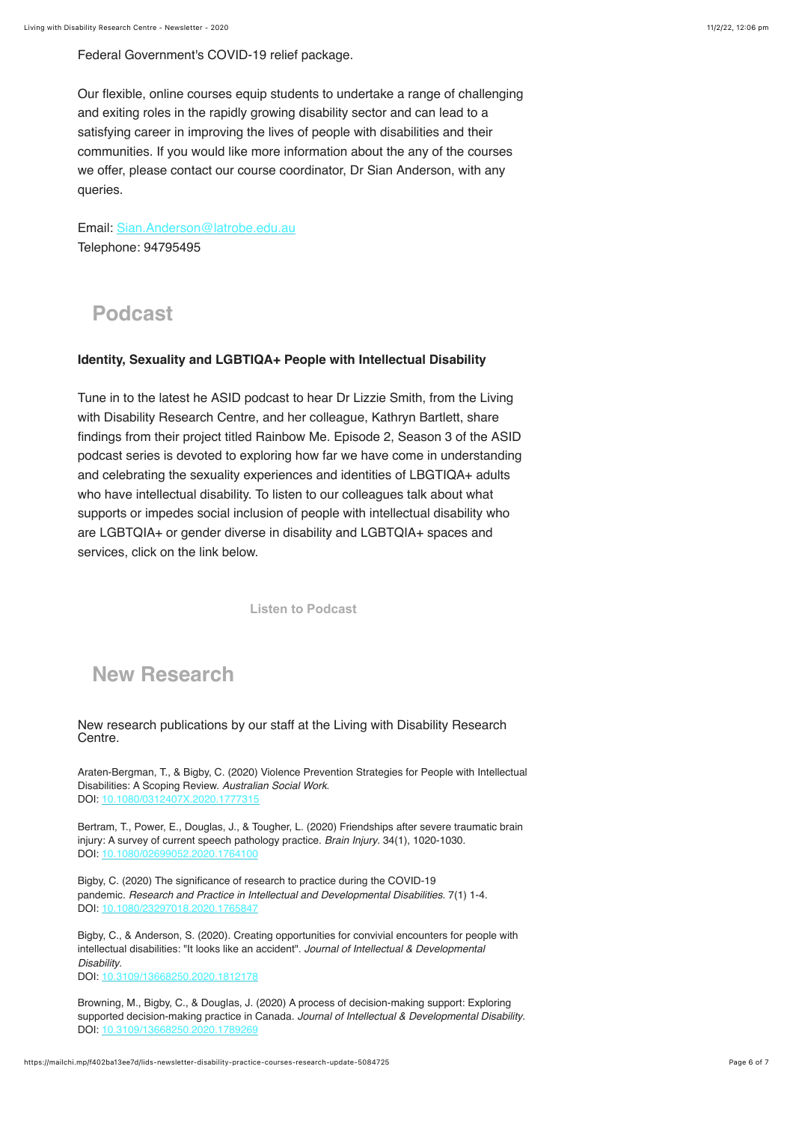Federal Government's COVID-19 relief package.

Our flexible, online courses equip students to undertake a range of challenging and exiting roles in the rapidly growing disability sector and can lead to a satisfying career in improving the lives of people with disabilities and their communities. If you would like more information about the any of the courses we offer, please contact our course coordinator, Dr Sian Anderson, with any queries.

Email: [Sian.Anderson@latrobe.edu.au](mailto:sian.anderson@latrobe.edu.au) Telephone: 94795495

### **Podcast**

#### **Identity, Sexuality and LGBTIQA+ People with Intellectual Disability**

Tune in to the latest he ASID podcast to hear Dr Lizzie Smith, from the Living with Disability Research Centre, and her colleague, Kathryn Bartlett, share findings from their project titled Rainbow Me. Episode 2, Season 3 of the ASID podcast series is devoted to exploring how far we have come in understanding and celebrating the sexuality experiences and identities of LBGTIQA+ adults who have intellectual disability. To listen to our colleagues talk about what supports or impedes social inclusion of people with intellectual disability who are LGBTQIA+ or gender diverse in disability and LGBTQIA+ spaces and services, click on the link below.

**[Listen to Podcast](https://protect-au.mimecast.com/s/QMA7C71ZlLu92JXvsWhHqX?domain=player.whooshkaa.com)**

# **New Research**

New research publications by our staff at the Living with Disability Research Centre.

Araten-Bergman, T., & Bigby, C. (2020) Violence Prevention Strategies for People with Intellectual Disabilities: A Scoping Review. *Australian Social Work*.  $DOI: 10.1080$ 

Bertram, T., Power, E., Douglas, J., & Tougher, L. (2020) Friendships after severe traumatic brain injury: A survey of current speech pathology practice. *Brain Injury*. 34(1), 1020-1030. DOI: 10.108

Bigby, C. (2020) The significance of research to practice during the COVID-19 pandemic. *Research and Practice in Intellectual and Developmental Disabilities*. 7(1) 1-4. DOI: [10.1080/23297018.2020.1765847](https://doi.org/10.1080/23297018.2020.1765847)

Bigby, C., & Anderson, S. (2020). Creating opportunities for convivial encounters for people with intellectual disabilities: "It looks like an accident". *Journal of Intellectual & Developmental Disability*. DOI: [10.3109/13668250.2020.1812178](https://doi.org/10.3109/13668250.2020.1812178)

Browning, M., Bigby, C., & Douglas, J. (2020) A process of decision-making support: Exploring supported decision-making practice in Canada. *Journal of Intellectual & Developmental Disability*. DOI: 10.3109/13668250.2020.1789